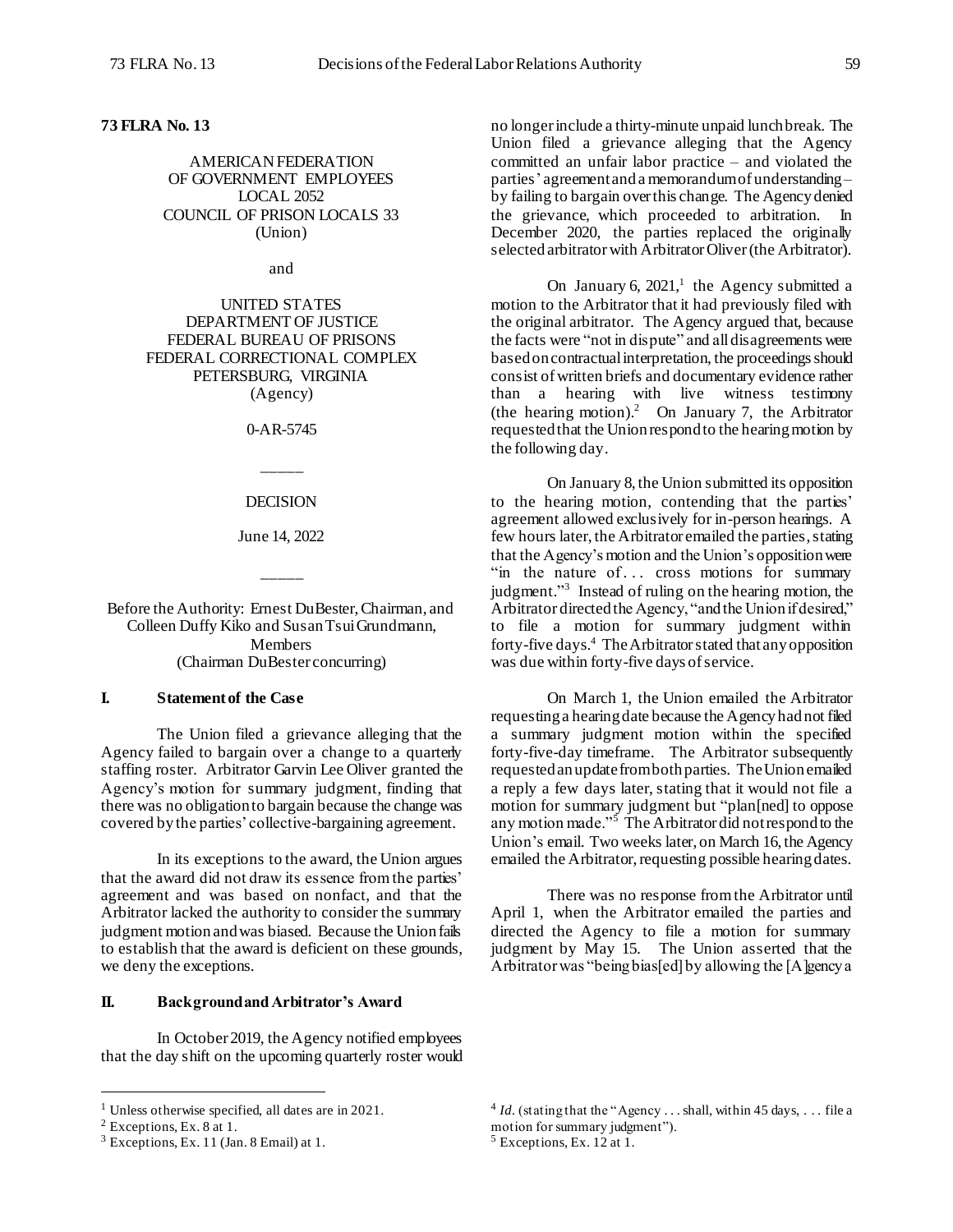## **73 FLRA No. 13**

AMERICAN FEDERATION OF GOVERNMENT EMPLOYEES LOCAL 2052 COUNCIL OF PRISON LOCALS 33 (Union)

and

UNITED STATES DEPARTMENT OF JUSTICE FEDERAL BUREAU OF PRISONS FEDERAL CORRECTIONAL COMPLEX PETERSBURG, VIRGINIA (Agency)

0-AR-5745

\_\_\_\_\_

#### DECISION

June 14, 2022

\_\_\_\_\_

Before the Authority: Ernest DuBester, Chairman, and Colleen Duffy Kiko and Susan TsuiGrundmann, Members (Chairman DuBester concurring)

## **I. Statement of the Case**

The Union filed a grievance alleging that the Agency failed to bargain over a change to a quarterly staffing roster. Arbitrator Garvin Lee Oliver granted the Agency's motion for summary judgment, finding that there was no obligation to bargain because the change was covered by the parties' collective-bargaining agreement.

In its exceptions to the award, the Union argues that the award did not draw its essence from the parties' agreement and was based on nonfact, and that the Arbitrator lacked the authority to consider the summary judgment motion and was biased. Because the Union fails to establish that the award is deficient on these grounds, we deny the exceptions.

## **II. Background and Arbitrator's Award**

In October 2019, the Agency notified employees that the day shift on the upcoming quarterly roster would

l

no longer include a thirty-minute unpaid lunch break. The Union filed a grievance alleging that the Agency committed an unfair labor practice – and violated the parties' agreement and a memorandumof understanding – by failing to bargain over this change. The Agency denied the grievance, which proceeded to arbitration. In December 2020, the parties replaced the originally selected arbitrator with Arbitrator Oliver (the Arbitrator).

On January 6,  $2021$ ,<sup>1</sup> the Agency submitted a motion to the Arbitrator that it had previously filed with the original arbitrator. The Agency argued that, because the facts were "not in dispute" and all disagreements were based on contractual interpretation, the proceedings should consist of written briefs and documentary evidence rather than a hearing with live witness testimony (the hearing motion). 2 On January 7, the Arbitrator requested that the Union respond to the hearing motion by the following day.

On January 8, the Union submitted its opposition to the hearing motion, contending that the parties' agreement allowed exclusively for in-person hearings. A few hours later, the Arbitrator emailed the parties, stating that the Agency's motion and the Union's opposition were "in the nature of... cross motions for summary judgment."<sup>3</sup> Instead of ruling on the hearing motion, the Arbitrator directed the Agency, "and the Union if desired," to file a motion for summary judgment within forty-five days. <sup>4</sup> The Arbitrator stated that any opposition was due within forty-five days of service.

On March 1, the Union emailed the Arbitrator requesting a hearing date because the Agency hadnot filed a summary judgment motion within the specified forty-five-day timeframe. The Arbitrator subsequently requestedan update from bothparties. The Unionemailed a reply a few days later, stating that it would not file a motion for summary judgment but "plan[ned] to oppose any motion made."<sup>5</sup> The Arbitrator did not respond to the Union's email. Two weeks later, on March 16, the Agency emailed the Arbitrator, requesting possible hearing dates.

There was no response from the Arbitrator until April 1, when the Arbitrator emailed the parties and directed the Agency to file a motion for summary judgment by May 15. The Union asserted that the Arbitrator was "being bias[ed] by allowing the [A]gency a

<sup>1</sup> Unless otherwise specified, all dates are in 2021.

 $2$  Exceptions, Ex. 8 at 1.

 $3$  Exceptions, Ex. 11 (Jan. 8 Email) at 1.

 $4$  *Id.* (stating that the "Agency ... shall, within 45 days, ... file a motion for summary judgment").

<sup>5</sup> Exceptions, Ex. 12 at 1.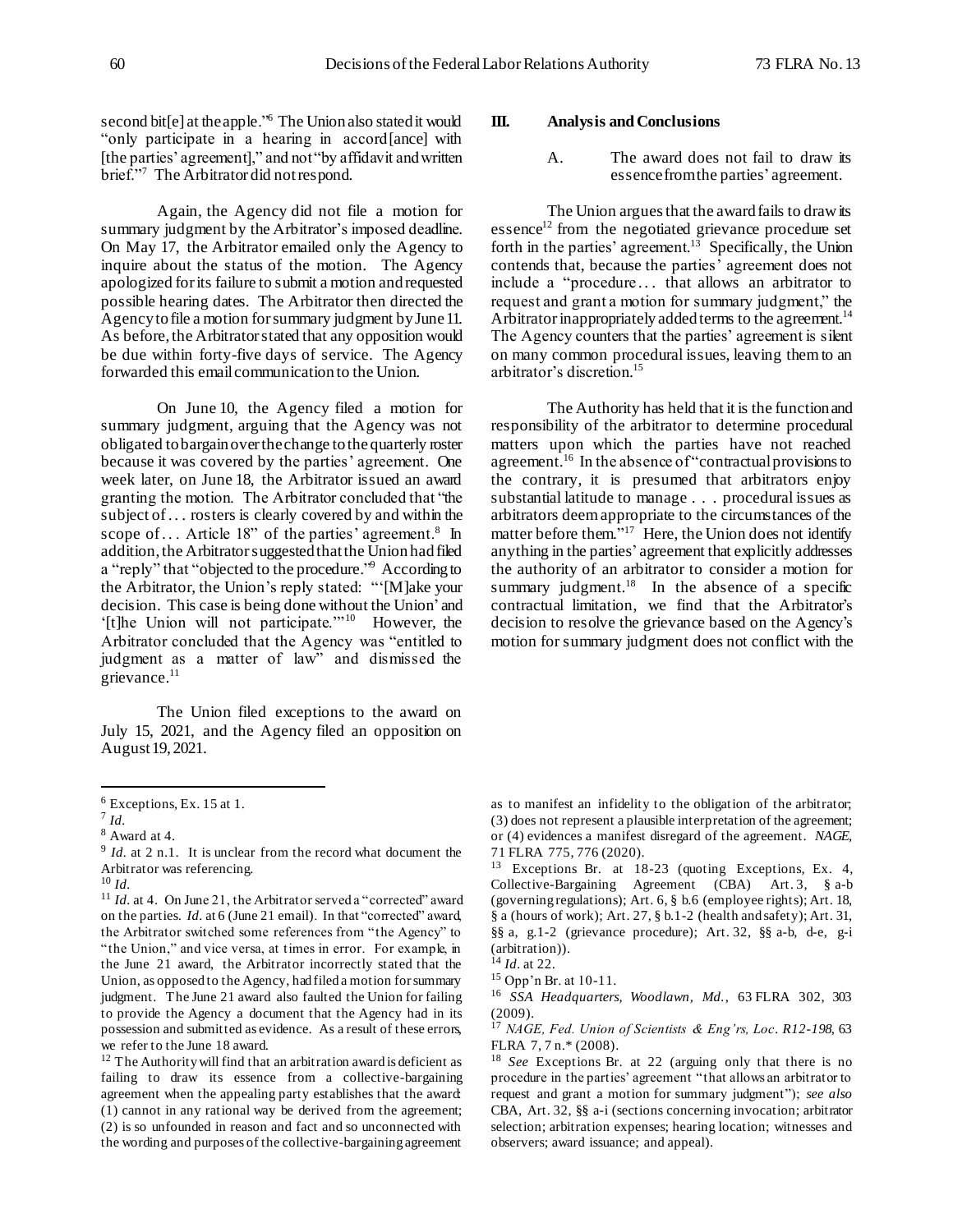second bit[e] at the apple.<sup>56</sup> The Union also stated it would "only participate in a hearing in accord[ance] with [the parties' agreement]," and not "by affidavit and written brief."<sup>7</sup> The Arbitrator did notrespond.

Again, the Agency did not file a motion for summary judgment by the Arbitrator's imposed deadline. On May 17, the Arbitrator emailed only the Agency to inquire about the status of the motion. The Agency apologized for its failure to submit a motion and requested possible hearing dates. The Arbitrator then directed the Agency to file a motion for summary judgment by June 11. As before, the Arbitrator stated that any opposition would be due within forty-five days of service. The Agency forwarded this emailcommunication to the Union.

On June 10, the Agency filed a motion for summary judgment, arguing that the Agency was not obligated to bargain over the change to the quarterly roster because it was covered by the parties' agreement. One week later, on June 18, the Arbitrator issued an award granting the motion. The Arbitrator concluded that "the subject of. . . rosters is clearly covered by and within the scope of... Article 18" of the parties' agreement.<sup>8</sup> In addition, the Arbitrator suggested that the Union had filed a "reply" that "objected to the procedure." 9 According to the Arbitrator, the Union's reply stated: "'[M]ake your decision. This case is being done without the Union' and '[t]he Union will not participate."<sup>10</sup> However, the Arbitrator concluded that the Agency was "entitled to judgment as a matter of law" and dismissed the grievance.<sup>11</sup>

The Union filed exceptions to the award on July 15, 2021, and the Agency filed an opposition on August 19, 2021.

l

#### **III. Analysis and Conclusions**

A. The award does not fail to draw its essence from the parties' agreement.

The Union argues that the award fails to draw its essence<sup>12</sup> from the negotiated grievance procedure set forth in the parties' agreement.<sup>13</sup> Specifically, the Union contends that, because the parties' agreement does not include a "procedure... that allows an arbitrator to request and grant a motion for summary judgment," the Arbitrator inappropriately added terms to the agreement.<sup>14</sup> The Agency counters that the parties' agreement is silent on many common procedural issues, leaving themto an arbitrator's discretion. 15

The Authority has held that it is the function and responsibility of the arbitrator to determine procedural matters upon which the parties have not reached agreement.<sup>16</sup> In the absence of "contractual provisions to the contrary, it is presumed that arbitrators enjoy substantial latitude to manage . . . procedural issues as arbitrators deem appropriate to the circumstances of the matter before them."<sup>17</sup> Here, the Union does not identify anything in the parties' agreement that explicitly addresses the authority of an arbitrator to consider a motion for summary judgment. $18$  In the absence of a specific contractual limitation, we find that the Arbitrator's decision to resolve the grievance based on the Agency's motion for summary judgment does not conflict with the

<sup>6</sup> Exceptions, Ex. 15 at 1.

<sup>7</sup> *Id.*

 $^8$  Award at 4.

<sup>&</sup>lt;sup>9</sup> *Id.* at 2 n.1. It is unclear from the record what document the Arbitrator was referencing.

 $^{10}$  *Id.* 

<sup>&</sup>lt;sup>11</sup> *Id.* at 4. On June 21, the Arbitrator served a "corrected" award on the parties. *Id.* at 6 (June 21 email). In that "corrected" award, the Arbitrator switched some references from "the Agency" to "the Union," and vice versa, at times in error. For example, in the June 21 award, the Arbitrator incorrectly stated that the Union, as opposed to the Agency, had filed a motion for summary judgment. The June 21 award also faulted the Union for failing to provide the Agency a document that the Agency had in its possession and submitted as evidence. As a result of these errors, we refer to the June 18 award.

<sup>&</sup>lt;sup>12</sup> The Authority will find that an arbitration award is deficient as failing to draw its essence from a collective-bargaining agreement when the appealing party establishes that the award: (1) cannot in any rational way be derived from the agreement; (2) is so unfounded in reason and fact and so unconnected with the wording and purposes of the collective-bargaining agreement

as to manifest an infidelity to the obligation of the arbitrator; (3) does not represent a plausible interpretation of the agreement; or (4) evidences a manifest disregard of the agreement. *NAGE*, 71 FLRA 775, 776 (2020).

<sup>13</sup> Exceptions Br. at 18-23 (quoting Exceptions, Ex. 4, Collective-Bargaining Agreement (CBA) Art. 3, § a-b (governing regulations); Art. 6, § b.6 (employee rights); Art. 18, § a (hours of work); Art. 27, § b.1-2 (health and safety); Art. 31, §§ a, g.1-2 (grievance procedure); Art. 32, §§ a-b, d-e, g-i (arbitration)).

 $\hat{1}^{4}$  *Id.* at 22.

<sup>15</sup> Opp'n Br. at 10-11.

<sup>16</sup> *SSA Headquarters, Woodlawn, Md.*, 63 FLRA 302, 303 (2009).

<sup>17</sup> *NAGE, Fed. Union of Scientists & Eng'rs, Loc. R12-198*, 63 FLRA 7, 7 n.\* (2008).

<sup>18</sup> *See* Exceptions Br. at 22 (arguing only that there is no procedure in the parties' agreement "that allows an arbitrator to request and grant a motion for summary judgment"); *see also* CBA, Art. 32, §§ a-i (sections concerning invocation; arbitrator selection; arbitration expenses; hearing location; witnesses and observers; award issuance; and appeal).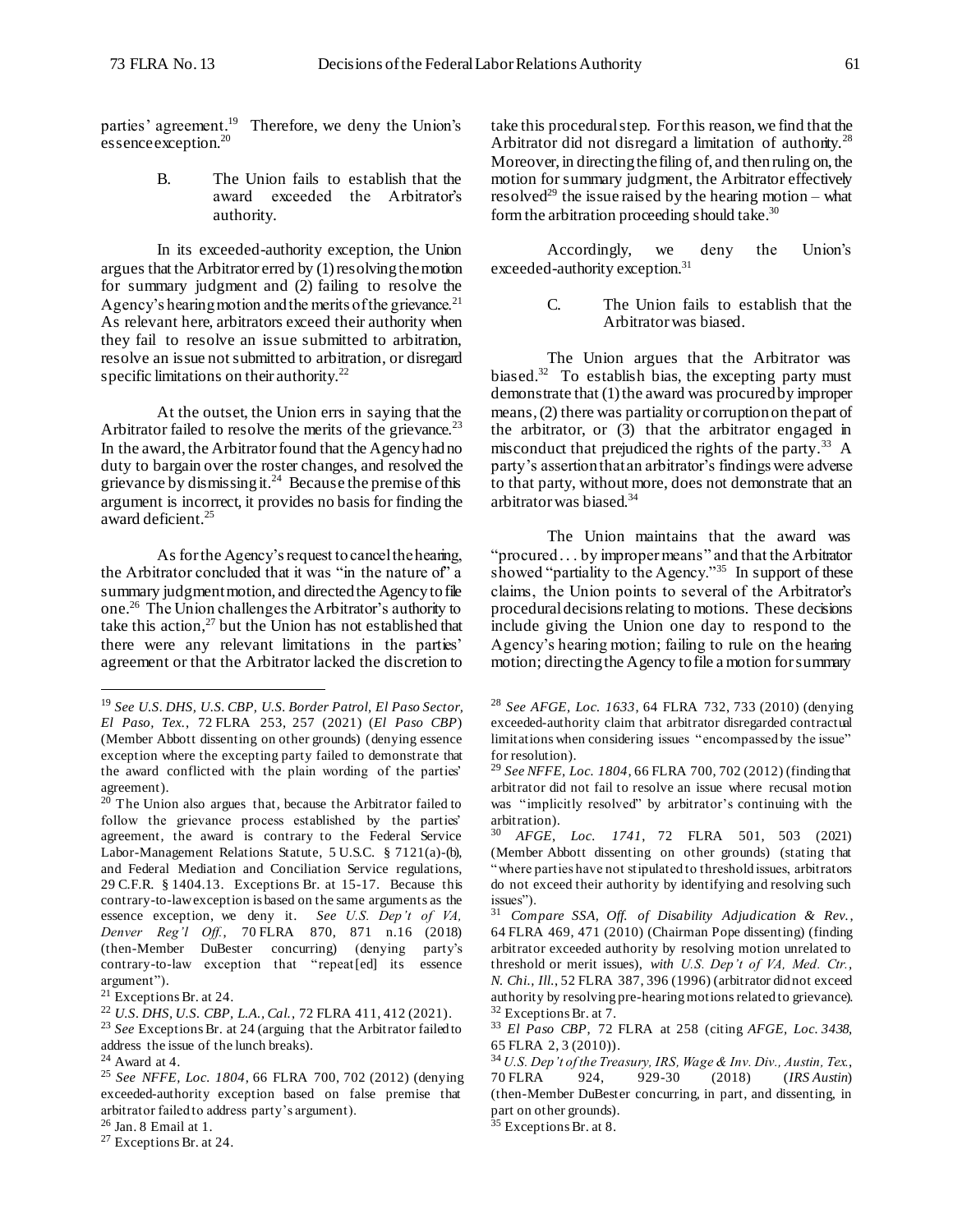parties' agreement. 19 Therefore, we deny the Union's essence exception. 20

> B. The Union fails to establish that the award exceeded the Arbitrator's authority.

In its exceeded-authority exception, the Union argues that the Arbitrator erred by (1)resolving the motion for summary judgment and (2) failing to resolve the Agency's hearing motion and the merits of the grievance.<sup>21</sup> As relevant here, arbitrators exceed their authority when they fail to resolve an issue submitted to arbitration, resolve an issue not submitted to arbitration, or disregard specific limitations on their authority.<sup>22</sup>

At the outset, the Union errs in saying that the Arbitrator failed to resolve the merits of the grievance.<sup>23</sup> In the award, the Arbitrator found that the Agency had no duty to bargain over the roster changes, and resolved the grievance by dismissing it.<sup>24</sup> Because the premise of this argument is incorrect, it provides no basis for finding the award deficient.<sup>25</sup>

As for the Agency's request to cancel the hearing, the Arbitrator concluded that it was "in the nature of" a summary judgment motion, and directed the Agency to file one.<sup>26</sup> The Union challenges the Arbitrator's authority to take this action, $^{27}$  but the Union has not established that there were any relevant limitations in the parties' agreement or that the Arbitrator lacked the discretion to

l

<sup>27</sup> Exceptions Br. at 24.

take this procedural step. For this reason, we find that the Arbitrator did not disregard a limitation of authority. $^{28}$ Moreover, in directing the filing of, and then ruling on, the motion for summary judgment, the Arbitrator effectively resolved<sup>29</sup> the issue raised by the hearing motion – what form the arbitration proceeding should take.<sup>30</sup>

Accordingly, we deny the Union's exceeded-authority exception.<sup>31</sup>

> C. The Union fails to establish that the Arbitrator was biased.

The Union argues that the Arbitrator was biased.<sup>32</sup> To establish bias, the excepting party must demonstrate that (1) the award was procured by improper means, (2) there was partiality or corruption on the part of the arbitrator, or  $(3)$  that the arbitrator engaged in misconduct that prejudiced the rights of the party.<sup>33</sup> A party's assertion that an arbitrator's findings were adverse to that party, without more, does not demonstrate that an arbitrator was biased.<sup>34</sup>

The Union maintains that the award was "procured . . . by improper means" and that the Arbitrator showed "partiality to the Agency."<sup>35</sup> In support of these claims, the Union points to several of the Arbitrator's procedural decisions relating to motions. These decisions include giving the Union one day to respond to the Agency's hearing motion; failing to rule on the hearing motion; directing the Agency to file a motion for summary

<sup>19</sup> *See U.S. DHS, U.S. CBP, U.S. Border Patrol, El Paso Sector, El Paso, Tex.*, 72 FLRA 253, 257 (2021) (*El Paso CBP*) (Member Abbott dissenting on other grounds) (denying essence exception where the excepting party failed to demonstrate that the award conflicted with the plain wording of the parties' agreement).

 $20$  The Union also argues that, because the Arbitrator failed to follow the grievance process established by the parties' agreement, the award is contrary to the Federal Service Labor-Management Relations Statute, 5 U.S.C. § 7121(a)-(b), and Federal Mediation and Conciliation Service regulations, 29 C.F.R. § 1404.13. Exceptions Br. at 15-17. Because this contrary-to-law exception is based on the same arguments as the essence exception, we deny it. *See U.S. Dep't of VA, Denver Reg'l Off.*, 70 FLRA 870, 871 n.16 (2018) (then-Member DuBester concurring) (denying party's contrary-to-law exception that "repeat[ed] its essence argument").

 $21$  Exceptions Br. at 24.

<sup>22</sup> *U.S. DHS, U.S. CBP, L.A., Cal.*, 72 FLRA 411, 412 (2021).

<sup>23</sup> *See* Exceptions Br. at 24 (arguing that the Arbitrator failed to address the issue of the lunch breaks).

<sup>24</sup> Award at 4.

<sup>25</sup> *See NFFE, Loc. 1804*, 66 FLRA 700, 702 (2012) (denying exceeded-authority exception based on false premise that arbitrator failed to address party's argument).

 $26$  Jan. 8 Email at 1.

<sup>28</sup> *See AFGE, Loc. 1633*, 64 FLRA 732, 733 (2010) (denying exceeded-authority claim that arbitrator disregarded contractual limitations when considering issues "encompassed by the issue" for resolution).

<sup>29</sup> *See NFFE, Loc. 1804*, 66 FLRA 700, 702 (2012) (finding that arbitrator did not fail to resolve an issue where recusal motion was "implicitly resolved" by arbitrator's continuing with the arbitration).

<sup>30</sup> *AFGE*, *Loc. 1741*, 72 FLRA 501, 503 (2021) (Member Abbott dissenting on other grounds) (stating that "where parties have not stipulated to threshold issues, arbitrators do not exceed their authority by identifying and resolving such issues").

<sup>31</sup> *Compare SSA, Off. of Disability Adjudication & Rev.*, 64 FLRA 469, 471 (2010) (Chairman Pope dissenting) (finding arbitrator exceeded authority by resolving motion unrelated to threshold or merit issues), *with U.S. Dep't of VA, Med. Ctr., N. Chi., Ill.*, 52 FLRA 387, 396 (1996) (arbitrator did not exceed authority by resolving pre-hearing motions related to grievance).  $32$  Exceptions Br. at 7.

<sup>33</sup> *El Paso CBP*, 72 FLRA at 258 (citing *AFGE, Loc. 3438*, 65 FLRA 2, 3 (2010)).

<sup>34</sup> *U.S. Dep't of the Treasury, IRS, Wage & Inv. Div., Austin, Tex.*, 70 FLRA 924, 929-30 (2018) (*IRS Austin*) (then-Member DuBester concurring, in part, and dissenting, in part on other grounds).

 $35$  Exceptions Br. at 8.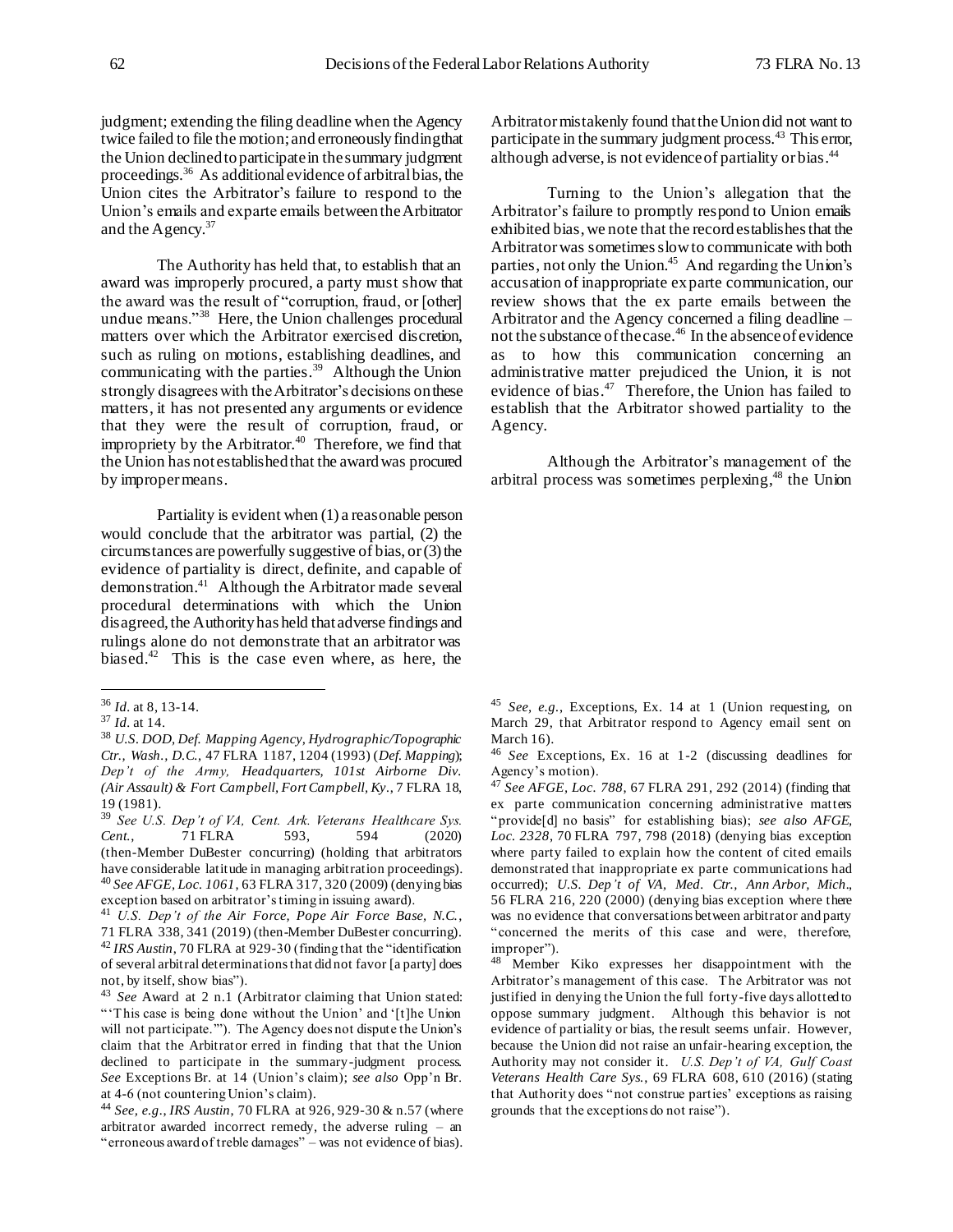judgment; extending the filing deadline when the Agency twice failed to file the motion; and erroneously finding that the Union declined to participate in the summary judgment proceedings.<sup>36</sup> As additional evidence of arbitral bias, the Union cites the Arbitrator's failure to respond to the Union's emails and ex parte emails between the Arbitrator and the Agency.<sup>37</sup>

The Authority has held that, to establish that an award was improperly procured, a party must show that the award was the result of "corruption, fraud, or [other] undue means."<sup>38</sup> Here, the Union challenges procedural matters over which the Arbitrator exercised discretion, such as ruling on motions, establishing deadlines, and communicating with the parties. $39$  Although the Union strongly disagrees with the Arbitrator's decisions on these matters, it has not presented any arguments or evidence that they were the result of corruption, fraud, or impropriety by the Arbitrator. $40$  Therefore, we find that the Union has not established that the award was procured by improper means.

Partiality is evident when (1) a reasonable person would conclude that the arbitrator was partial, (2) the circumstances are powerfully suggestive of bias, or  $(3)$  the evidence of partiality is direct, definite, and capable of demonstration.<sup>41</sup> Although the Arbitrator made several procedural determinations with which the Union disagreed, the Authority has held that adverse findings and rulings alone do not demonstrate that an arbitrator was biased.<sup>42</sup> This is the case even where, as here, the

l

<sup>39</sup> *See U.S. Dep't of VA, Cent. Ark. Veterans Healthcare Sys. Cent.*, 71 FLRA 593, 594 (2020) (then-Member DuBester concurring) (holding that arbitrators have considerable latitude in managing arbitration proceedings). <sup>40</sup> *See AFGE, Loc. 1061*, 63 FLRA 317, 320 (2009) (denying bias exception based on arbitrator's timing in issuing award).

Arbitrator mistakenly found that the Union did not want to participate in the summary judgment process.<sup>43</sup> This error, although adverse, is not evidence of partiality or bias.<sup>44</sup>

Turning to the Union's allegation that the Arbitrator's failure to promptly respond to Union emails exhibited bias, we note that the record establishes that the Arbitrator was sometimes slow to communicate with both parties, not only the Union. <sup>45</sup> And regarding the Union's accusation of inappropriate ex parte communication, our review shows that the ex parte emails between the Arbitrator and the Agency concerned a filing deadline – not the substance of the case.<sup>46</sup> In the absence of evidence as to how this communication concerning an administrative matter prejudiced the Union, it is not evidence of bias.<sup>47</sup> Therefore, the Union has failed to establish that the Arbitrator showed partiality to the Agency.

Although the Arbitrator's management of the arbitral process was sometimes perplexing, <sup>48</sup> the Union

<sup>36</sup> *Id.* at 8, 13-14.

<sup>37</sup> *Id.* at 14.

<sup>38</sup> *U.S. DOD, Def. Mapping Agency, Hydrographic/Topographic Ctr., Wash., D.C.*, 47 FLRA 1187, 1204 (1993) (*Def. Mapping*); *Dep't of the Army, Headquarters, 101st Airborne Div. (Air Assault) & Fort Campbell, Fort Campbell, Ky.*, 7 FLRA 18, 19 (1981).

<sup>41</sup> *U.S. Dep't of the Air Force, Pope Air Force Base, N.C.*, 71 FLRA 338, 341 (2019) (then-Member DuBester concurring)*.* <sup>42</sup> *IRS Austin*, 70 FLRA at 929-30 (finding that the "identification of several arbitral determinations that did not favor [a party] does not, by itself, show bias").

<sup>43</sup> *See* Award at 2 n.1 (Arbitrator claiming that Union stated: "'This case is being done without the Union' and '[t]he Union will not participate.'"). The Agency does not dispute the Union's claim that the Arbitrator erred in finding that that the Union declined to participate in the summary-judgment process. *See* Exceptions Br. at 14 (Union's claim); *see also* Opp'n Br. at 4-6 (not countering Union's claim).

<sup>44</sup> *See, e.g.*, *IRS Austin*, 70 FLRA at 926, 929-30 & n.57 (where arbitrator awarded incorrect remedy, the adverse ruling – an "erroneous award of treble damages" – was not evidence of bias).

<sup>45</sup> *See, e.g.*, Exceptions, Ex. 14 at 1 (Union requesting, on March 29, that Arbitrator respond to Agency email sent on March 16).

<sup>46</sup> *See* Exceptions, Ex. 16 at 1-2 (discussing deadlines for Agency's motion).

<sup>47</sup> *See AFGE, Loc. 788*, 67 FLRA 291, 292 (2014) (finding that ex parte communication concerning administrative matters "provide[d] no basis" for establishing bias); *see also AFGE, Loc. 2328*, 70 FLRA 797, 798 (2018) (denying bias exception where party failed to explain how the content of cited emails demonstrated that inappropriate ex parte communications had occurred); *U.S. Dep't of VA, Med. Ctr., Ann Arbor, Mich.*, 56 FLRA 216, 220 (2000) (denying bias exception where there was no evidence that conversations between arbitrator and party "concerned the merits of this case and were, therefore, improper").

<sup>48</sup> Member Kiko expresses her disappointment with the Arbitrator's management of this case. The Arbitrator was not justified in denying the Union the full forty-five days allotted to oppose summary judgment. Although this behavior is not evidence of partiality or bias, the result seems unfair. However, because the Union did not raise an unfair-hearing exception, the Authority may not consider it. *U.S. Dep't of VA, Gulf Coast Veterans Health Care Sys.*, 69 FLRA 608, 610 (2016) (stating that Authority does "not construe parties' exceptions as raising grounds that the exceptions do not raise").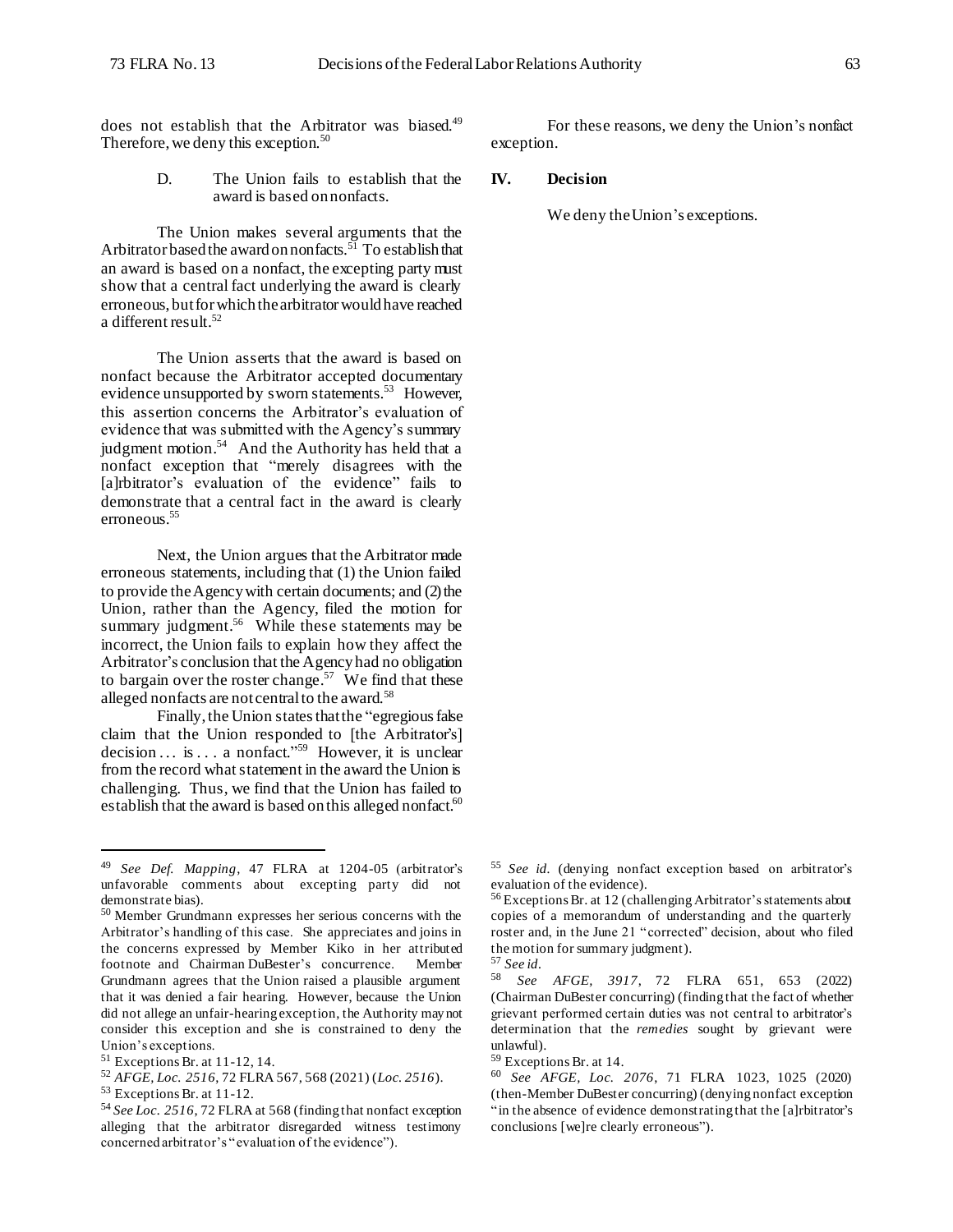does not establish that the Arbitrator was biased.<sup>49</sup> Therefore, we deny this exception.<sup>50</sup>

> D. The Union fails to establish that the award is based on nonfacts.

The Union makes several arguments that the Arbitrator based the award on nonfacts.<sup>51</sup> To establish that an award is based on a nonfact, the excepting party must show that a central fact underlying the award is clearly erroneous, but for which the arbitrator would have reached a different result.<sup>52</sup>

The Union asserts that the award is based on nonfact because the Arbitrator accepted documentary evidence unsupported by sworn statements.<sup>53</sup> However, this assertion concerns the Arbitrator's evaluation of evidence that was submitted with the Agency's summary judgment motion.<sup>54</sup> And the Authority has held that a nonfact exception that "merely disagrees with the [a]rbitrator's evaluation of the evidence" fails to demonstrate that a central fact in the award is clearly erroneous. 55

Next, the Union argues that the Arbitrator made erroneous statements, including that (1) the Union failed to provide the Agency with certain documents; and (2) the Union, rather than the Agency, filed the motion for summary judgment.<sup>56</sup> While these statements may be incorrect, the Union fails to explain how they affect the Arbitrator's conclusion that the Agency had no obligation to bargain over the roster change.<sup>57</sup> We find that these alleged nonfacts are not central to the award.<sup>58</sup>

Finally, the Union states that the "egregious false claim that the Union responded to [the Arbitrator's] decision ... is ... a nonfact."<sup>59</sup> However, it is unclear from the record what statement in the award the Union is challenging. Thus, we find that the Union has failed to establish that the award is based on this alleged nonfact.<sup>60</sup>

l

For these reasons, we deny the Union's nonfact exception.

# **IV. Decision**

We deny the Union's exceptions.

<sup>49</sup> *See Def. Mapping*, 47 FLRA at 1204-05 (arbitrator's unfavorable comments about excepting party did not demonstrate bias).

<sup>50</sup> Member Grundmann expresses her serious concerns with the Arbitrator's handling of this case. She appreciates and joins in the concerns expressed by Member Kiko in her attributed footnote and Chairman DuBester's concurrence. Member Grundmann agrees that the Union raised a plausible argument that it was denied a fair hearing. However, because the Union did not allege an unfair-hearing exception, the Authority may not consider this exception and she is constrained to deny the Union's exceptions.

<sup>51</sup> Exceptions Br. at 11-12, 14.

<sup>52</sup> *AFGE, Loc. 2516*, 72 FLRA 567, 568 (2021) (*Loc. 2516*).

<sup>53</sup> Exceptions Br. at 11-12.

<sup>54</sup> *See Loc. 2516*, 72 FLRA at 568 (finding that nonfact exception alleging that the arbitrator disregarded witness testimony concerned arbitrator's "evaluation of the evidence").

<sup>55</sup> *See id.* (denying nonfact exception based on arbitrator's evaluation of the evidence).

<sup>56</sup> Exceptions Br. at 12 (challenging Arbitrator's statements about copies of a memorandum of understanding and the quarterly roster and, in the June 21 "corrected" decision, about who filed the motion for summary judgment).

<sup>57</sup> *See id.*

<sup>58</sup> *See AFGE, 3917*, 72 FLRA 651, 653 (2022) (Chairman DuBester concurring) (finding that the fact of whether grievant performed certain duties was not central to arbitrator's determination that the *remedies* sought by grievant were unlawful).

<sup>59</sup> Exceptions Br. at 14.

<sup>60</sup> *See AFGE, Loc. 2076*, 71 FLRA 1023, 1025 (2020) (then-Member DuBester concurring) (denying nonfact exception "in the absence of evidence demonstrating that the [a]rbitrator's conclusions [we]re clearly erroneous").